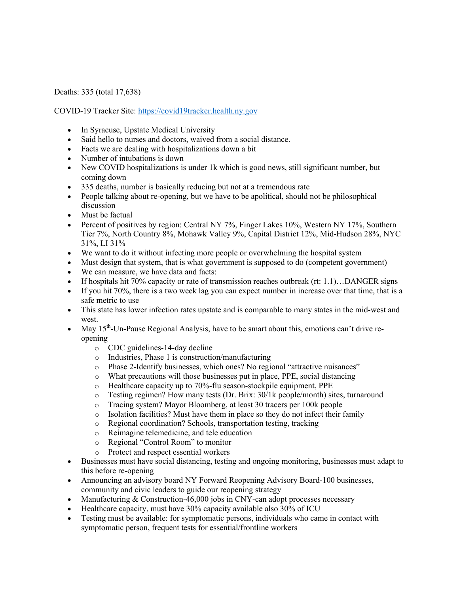Deaths: 335 (total 17,638)

COVID-19 Tracker Site: https://covid19tracker.health.ny.gov

- In Syracuse, Upstate Medical University
- Said hello to nurses and doctors, waived from a social distance.
- Facts we are dealing with hospitalizations down a bit
- Number of intubations is down
- New COVID hospitalizations is under 1k which is good news, still significant number, but coming down
- 335 deaths, number is basically reducing but not at a tremendous rate
- People talking about re-opening, but we have to be apolitical, should not be philosophical discussion
- Must be factual
- Percent of positives by region: Central NY 7%, Finger Lakes 10%, Western NY 17%, Southern Tier 7%, North Country 8%, Mohawk Valley 9%, Capital District 12%, Mid-Hudson 28%, NYC 31%, LI 31%
- We want to do it without infecting more people or overwhelming the hospital system
- Must design that system, that is what government is supposed to do (competent government)
- We can measure, we have data and facts:
- If hospitals hit 70% capacity or rate of transmission reaches outbreak (rt: 1.1)…DANGER signs
- If you hit 70%, there is a two week lag you can expect number in increase over that time, that is a safe metric to use
- This state has lower infection rates upstate and is comparable to many states in the mid-west and west.
- May  $15<sup>th</sup>$ -Un-Pause Regional Analysis, have to be smart about this, emotions can't drive reopening
	- o CDC guidelines-14-day decline
	- o Industries, Phase 1 is construction/manufacturing
	- o Phase 2-Identify businesses, which ones? No regional "attractive nuisances"
	- o What precautions will those businesses put in place, PPE, social distancing
	- o Healthcare capacity up to 70%-flu season-stockpile equipment, PPE
	- o Testing regimen? How many tests (Dr. Brix: 30/1k people/month) sites, turnaround
	- o Tracing system? Mayor Bloomberg, at least 30 tracers per 100k people
	- o Isolation facilities? Must have them in place so they do not infect their family
	- o Regional coordination? Schools, transportation testing, tracking
	- o Reimagine telemedicine, and tele education
	- o Regional "Control Room" to monitor
	- o Protect and respect essential workers
- Businesses must have social distancing, testing and ongoing monitoring, businesses must adapt to this before re-opening
- Announcing an advisory board NY Forward Reopening Advisory Board-100 businesses, community and civic leaders to guide our reopening strategy
- Manufacturing  $&$  Construction-46,000 jobs in CNY-can adopt processes necessary
- Healthcare capacity, must have 30% capacity available also 30% of ICU
- Testing must be available: for symptomatic persons, individuals who came in contact with symptomatic person, frequent tests for essential/frontline workers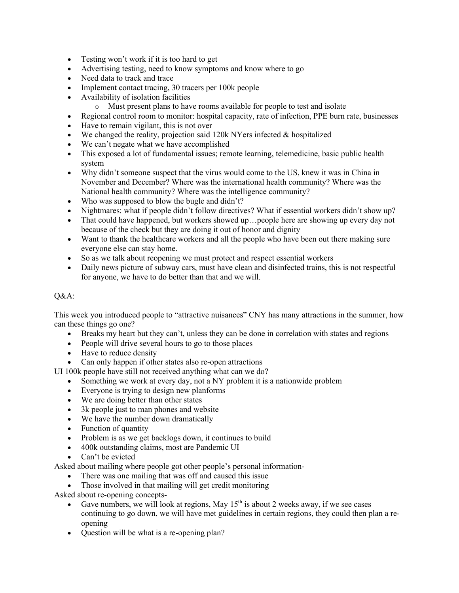- Testing won't work if it is too hard to get
- Advertising testing, need to know symptoms and know where to go
- Need data to track and trace
- Implement contact tracing, 30 tracers per 100k people
- Availability of isolation facilities
	- o Must present plans to have rooms available for people to test and isolate
- Regional control room to monitor: hospital capacity, rate of infection, PPE burn rate, businesses
- Have to remain vigilant, this is not over
- We changed the reality, projection said 120k NYers infected & hospitalized
- We can't negate what we have accomplished
- This exposed a lot of fundamental issues; remote learning, telemedicine, basic public health system
- Why didn't someone suspect that the virus would come to the US, knew it was in China in November and December? Where was the international health community? Where was the National health community? Where was the intelligence community?
- Who was supposed to blow the bugle and didn't?
- Nightmares: what if people didn't follow directives? What if essential workers didn't show up?
- That could have happened, but workers showed up... people here are showing up every day not because of the check but they are doing it out of honor and dignity
- Want to thank the healthcare workers and all the people who have been out there making sure everyone else can stay home.
- So as we talk about reopening we must protect and respect essential workers
- Daily news picture of subway cars, must have clean and disinfected trains, this is not respectful for anyone, we have to do better than that and we will.

## Q&A:

This week you introduced people to "attractive nuisances" CNY has many attractions in the summer, how can these things go one?

- Breaks my heart but they can't, unless they can be done in correlation with states and regions
- People will drive several hours to go to those places
- Have to reduce density
- Can only happen if other states also re-open attractions

UI 100k people have still not received anything what can we do?

- Something we work at every day, not a NY problem it is a nationwide problem
- Everyone is trying to design new planforms
- We are doing better than other states
- 3k people just to man phones and website
- We have the number down dramatically
- Function of quantity
- Problem is as we get backlogs down, it continues to build
- 400k outstanding claims, most are Pandemic UI
- Can't be evicted

Asked about mailing where people got other people's personal information-

- There was one mailing that was off and caused this issue
- Those involved in that mailing will get credit monitoring

Asked about re-opening concepts-

- Gave numbers, we will look at regions, May  $15<sup>th</sup>$  is about 2 weeks away, if we see cases continuing to go down, we will have met guidelines in certain regions, they could then plan a reopening
- Question will be what is a re-opening plan?